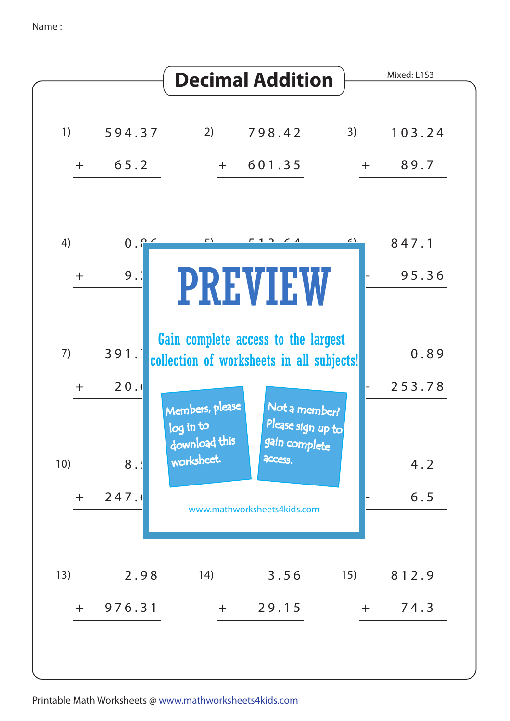